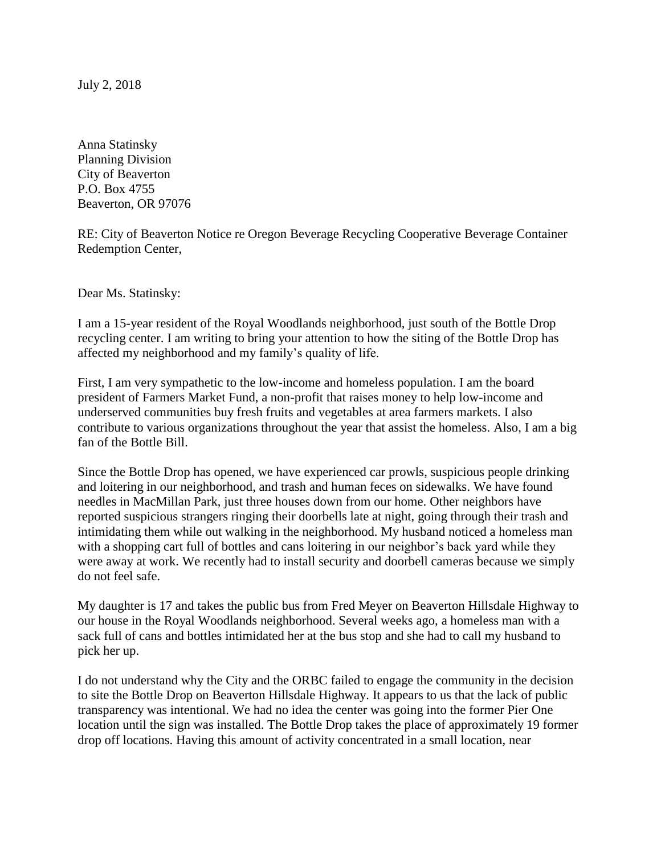July 2, 2018

Anna Statinsky Planning Division City of Beaverton P.O. Box 4755 Beaverton, OR 97076

RE: City of Beaverton Notice re Oregon Beverage Recycling Cooperative Beverage Container Redemption Center,

Dear Ms. Statinsky:

I am a 15-year resident of the Royal Woodlands neighborhood, just south of the Bottle Drop recycling center. I am writing to bring your attention to how the siting of the Bottle Drop has affected my neighborhood and my family's quality of life.

First, I am very sympathetic to the low-income and homeless population. I am the board president of Farmers Market Fund, a non-profit that raises money to help low-income and underserved communities buy fresh fruits and vegetables at area farmers markets. I also contribute to various organizations throughout the year that assist the homeless. Also, I am a big fan of the Bottle Bill.

Since the Bottle Drop has opened, we have experienced car prowls, suspicious people drinking and loitering in our neighborhood, and trash and human feces on sidewalks. We have found needles in MacMillan Park, just three houses down from our home. Other neighbors have reported suspicious strangers ringing their doorbells late at night, going through their trash and intimidating them while out walking in the neighborhood. My husband noticed a homeless man with a shopping cart full of bottles and cans loitering in our neighbor's back yard while they were away at work. We recently had to install security and doorbell cameras because we simply do not feel safe.

My daughter is 17 and takes the public bus from Fred Meyer on Beaverton Hillsdale Highway to our house in the Royal Woodlands neighborhood. Several weeks ago, a homeless man with a sack full of cans and bottles intimidated her at the bus stop and she had to call my husband to pick her up.

I do not understand why the City and the ORBC failed to engage the community in the decision to site the Bottle Drop on Beaverton Hillsdale Highway. It appears to us that the lack of public transparency was intentional. We had no idea the center was going into the former Pier One location until the sign was installed. The Bottle Drop takes the place of approximately 19 former drop off locations. Having this amount of activity concentrated in a small location, near